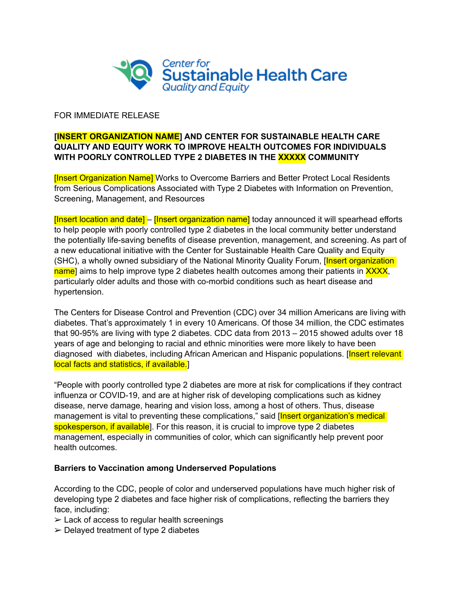

## FOR IMMEDIATE RELEASE

## **[INSERT ORGANIZATION NAME] AND CENTER FOR SUSTAINABLE HEALTH CARE QUALITY AND EQUITY WORK TO IMPROVE HEALTH OUTCOMES FOR INDIVIDUALS WITH POORLY CONTROLLED TYPE 2 DIABETES IN THE XXXXX COMMUNITY**

**[Insert Organization Name]** Works to Overcome Barriers and Better Protect Local Residents from Serious Complications Associated with Type 2 Diabetes with Information on Prevention, Screening, Management, and Resources

[Insert location and date] – [Insert organization name] today announced it will spearhead efforts to help people with poorly controlled type 2 diabetes in the local community better understand the potentially life-saving benefits of disease prevention, management, and screening. As part of a new educational initiative with the Center for Sustainable Health Care Quality and Equity (SHC), a wholly owned subsidiary of the National Minority Quality Forum, [Insert organization] name] aims to help improve type 2 diabetes health outcomes among their patients in XXXX, particularly older adults and those with co-morbid conditions such as heart disease and hypertension.

The Centers for Disease Control and Prevention (CDC) over 34 million Americans are living with diabetes. That's approximately 1 in every 10 Americans. Of those 34 million, the CDC estimates that 90-95% are living with type 2 diabetes. CDC data from 2013 – 2015 showed adults over 18 years of age and belonging to racial and ethnic minorities were more likely to have been diagnosed with diabetes, including African American and Hispanic populations. [Insert relevant] local facts and statistics, if available.]

"People with poorly controlled type 2 diabetes are more at risk for complications if they contract influenza or COVID-19, and are at higher risk of developing complications such as kidney disease, nerve damage, hearing and vision loss, among a host of others. Thus, disease management is vital to preventing these complications," said [Insert organization's medical spokesperson, if available. For this reason, it is crucial to improve type 2 diabetes management, especially in communities of color, which can significantly help prevent poor health outcomes.

## **Barriers to Vaccination among Underserved Populations**

According to the CDC, people of color and underserved populations have much higher risk of developing type 2 diabetes and face higher risk of complications, reflecting the barriers they face, including:

- $\geq$  Lack of access to regular health screenings
- $\geq$  Delayed treatment of type 2 diabetes